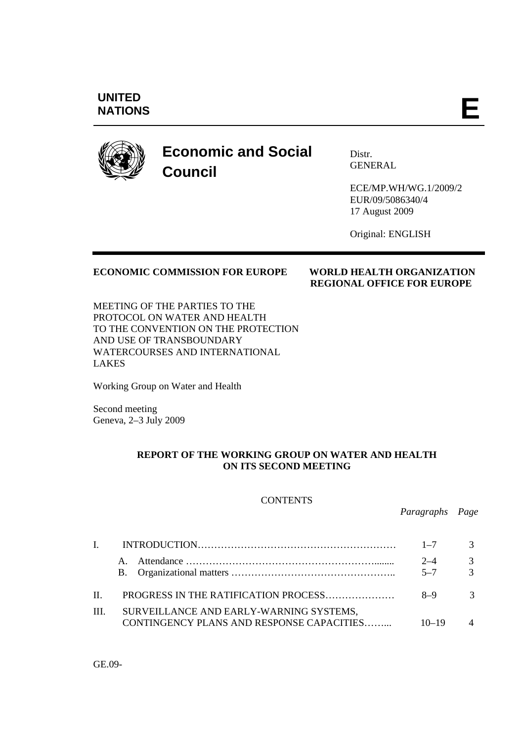# **UNITED**  UNITED<br>NATIONS



# **Economic and Social Council**

Distr. **GENERAL** 

ECE/MP.WH/WG.1/2009/2 EUR/09/5086340/4 17 August 2009

Original: ENGLISH

# **ECONOMIC COMMISSION FOR EUROPE WORLD HEALTH ORGANIZATION**

# **REGIONAL OFFICE FOR EUROPE**

MEETING OF THE PARTIES TO THE PROTOCOL ON WATER AND HEALTH TO THE CONVENTION ON THE PROTECTION AND USE OF TRANSBOUNDARY WATERCOURSES AND INTERNATIONAL LAKES

Working Group on Water and Health

Second meeting Geneva, 2–3 July 2009

## **REPORT OF THE WORKING GROUP ON WATER AND HEALTH ON ITS SECOND MEETING**

#### **CONTENTS**

 *Paragraphs Page* 

|            |                                                                                      | $1 - 7$          |                          |
|------------|--------------------------------------------------------------------------------------|------------------|--------------------------|
|            |                                                                                      | $2 - 4$<br>$5-7$ | $\mathcal{R}$            |
| $\Pi$      | PROGRESS IN THE RATIFICATION PROCESS                                                 | $8-9$            |                          |
| <b>III</b> | SURVEILLANCE AND EARLY-WARNING SYSTEMS,<br>CONTINGENCY PLANS AND RESPONSE CAPACITIES | $10 - 19$        | $\boldsymbol{\varDelta}$ |

GE.09-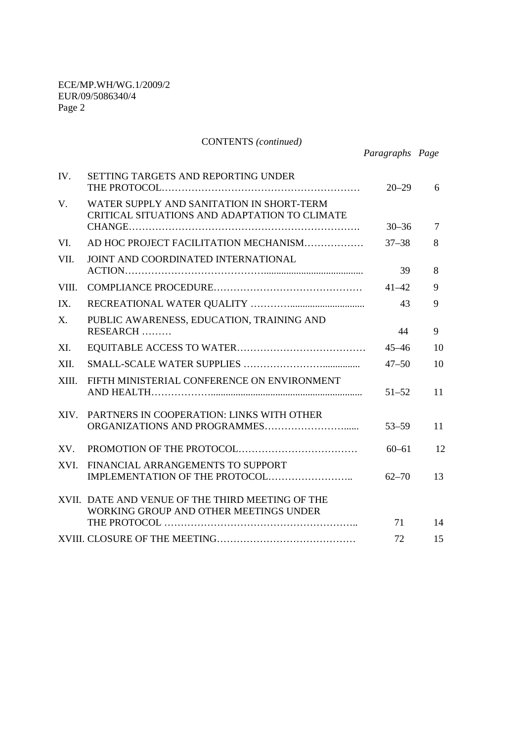|             | <b>CONTENTS</b> (continued)                                                                |                 |    |
|-------------|--------------------------------------------------------------------------------------------|-----------------|----|
|             |                                                                                            | Paragraphs Page |    |
| IV.         | SETTING TARGETS AND REPORTING UNDER                                                        | $20 - 29$       | 6  |
| V.          | WATER SUPPLY AND SANITATION IN SHORT-TERM<br>CRITICAL SITUATIONS AND ADAPTATION TO CLIMATE | $30 - 36$       | 7  |
| VI.         | AD HOC PROJECT FACILITATION MECHANISM                                                      | $37 - 38$       | 8  |
| VII.        | JOINT AND COORDINATED INTERNATIONAL                                                        |                 |    |
|             |                                                                                            | 39              | 8  |
| VIII.       |                                                                                            | $41 - 42$       | 9  |
| IX.         |                                                                                            | 43              | 9  |
| $X_{\cdot}$ | PUBLIC AWARENESS, EDUCATION, TRAINING AND<br>RESEARCH                                      | 44              | 9  |
| XI.         |                                                                                            | $45 - 46$       | 10 |
| XII.        |                                                                                            | $47 - 50$       | 10 |
| XIII.       | FIFTH MINISTERIAL CONFERENCE ON ENVIRONMENT                                                | $51 - 52$       | 11 |
| XIV.        | PARTNERS IN COOPERATION: LINKS WITH OTHER                                                  | $53 - 59$       | 11 |
| XV.         |                                                                                            | $60 - 61$       | 12 |
| <b>XVI</b>  | FINANCIAL ARRANGEMENTS TO SUPPORT                                                          | $62 - 70$       | 13 |
|             | XVII. DATE AND VENUE OF THE THIRD MEETING OF THE<br>WORKING GROUP AND OTHER MEETINGS UNDER |                 |    |
|             |                                                                                            | 71              | 14 |
|             |                                                                                            | 72              | 15 |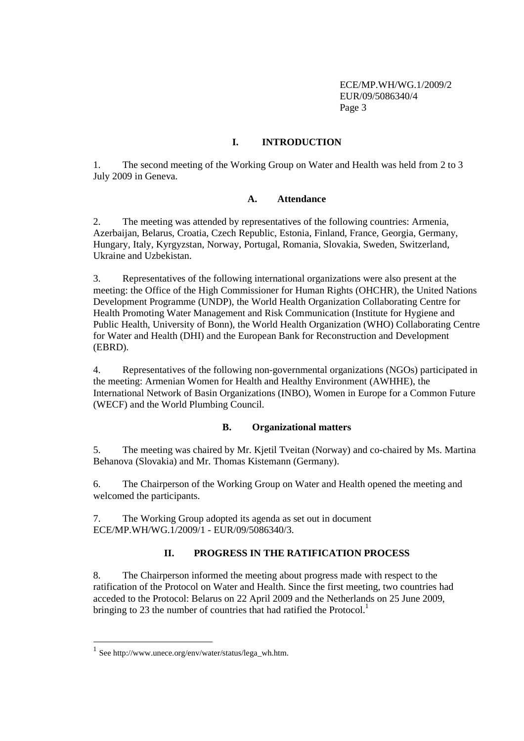# **I. INTRODUCTION**

1. The second meeting of the Working Group on Water and Health was held from 2 to 3 July 2009 in Geneva.

#### **A. Attendance**

2. The meeting was attended by representatives of the following countries: Armenia, Azerbaijan, Belarus, Croatia, Czech Republic, Estonia, Finland, France, Georgia, Germany, Hungary, Italy, Kyrgyzstan, Norway, Portugal, Romania, Slovakia, Sweden, Switzerland, Ukraine and Uzbekistan.

3. Representatives of the following international organizations were also present at the meeting: the Office of the High Commissioner for Human Rights (OHCHR), the United Nations Development Programme (UNDP), the World Health Organization Collaborating Centre for Health Promoting Water Management and Risk Communication (Institute for Hygiene and Public Health, University of Bonn), the World Health Organization (WHO) Collaborating Centre for Water and Health (DHI) and the European Bank for Reconstruction and Development (EBRD).

4. Representatives of the following non-governmental organizations (NGOs) participated in the meeting: Armenian Women for Health and Healthy Environment (AWHHE), the International Network of Basin Organizations (INBO), Women in Europe for a Common Future (WECF) and the World Plumbing Council.

# **B. Organizational matters**

5. The meeting was chaired by Mr. Kjetil Tveitan (Norway) and co-chaired by Ms. Martina Behanova (Slovakia) and Mr. Thomas Kistemann (Germany).

6. The Chairperson of the Working Group on Water and Health opened the meeting and welcomed the participants.

7. The Working Group adopted its agenda as set out in document ECE/MP.WH/WG.1/2009/1 - EUR/09/5086340/3.

# **II. PROGRESS IN THE RATIFICATION PROCESS**

8. The Chairperson informed the meeting about progress made with respect to the ratification of the Protocol on Water and Health. Since the first meeting, two countries had acceded to the Protocol: Belarus on 22 April 2009 and the Netherlands on 25 June 2009, bringing to 23 the number of countries that had ratified the Protocol.<sup>1</sup>

 $\ddot{\phantom{a}}$ 

<sup>1</sup> See http://www.unece.org/env/water/status/lega\_wh.htm.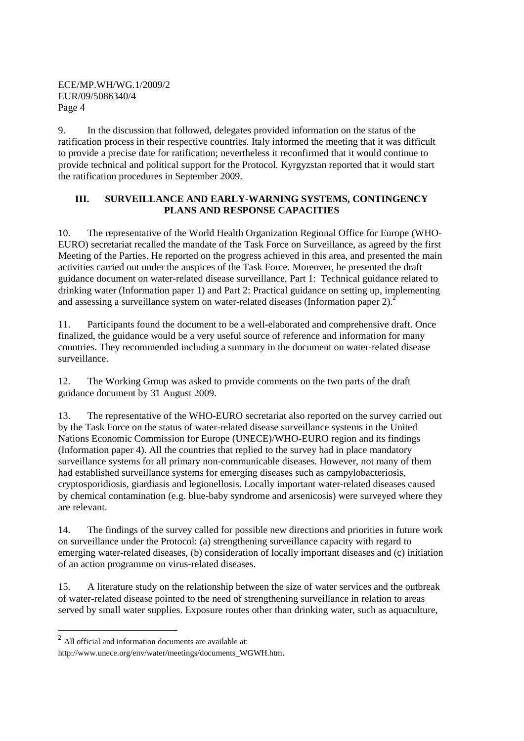9. In the discussion that followed, delegates provided information on the status of the ratification process in their respective countries. Italy informed the meeting that it was difficult to provide a precise date for ratification; nevertheless it reconfirmed that it would continue to provide technical and political support for the Protocol. Kyrgyzstan reported that it would start the ratification procedures in September 2009.

# **III. SURVEILLANCE AND EARLY-WARNING SYSTEMS, CONTINGENCY PLANS AND RESPONSE CAPACITIES**

10. The representative of the World Health Organization Regional Office for Europe (WHO-EURO) secretariat recalled the mandate of the Task Force on Surveillance, as agreed by the first Meeting of the Parties. He reported on the progress achieved in this area, and presented the main activities carried out under the auspices of the Task Force. Moreover, he presented the draft guidance document on water-related disease surveillance, Part 1: Technical guidance related to drinking water (Information paper 1) and Part 2: Practical guidance on setting up, implementing and assessing a surveillance system on water-related diseases (Information paper 2). $2^2$ 

11. Participants found the document to be a well-elaborated and comprehensive draft. Once finalized, the guidance would be a very useful source of reference and information for many countries. They recommended including a summary in the document on water-related disease surveillance.

12. The Working Group was asked to provide comments on the two parts of the draft guidance document by 31 August 2009.

13. The representative of the WHO-EURO secretariat also reported on the survey carried out by the Task Force on the status of water-related disease surveillance systems in the United Nations Economic Commission for Europe (UNECE)/WHO-EURO region and its findings (Information paper 4). All the countries that replied to the survey had in place mandatory surveillance systems for all primary non-communicable diseases. However, not many of them had established surveillance systems for emerging diseases such as campylobacteriosis, cryptosporidiosis, giardiasis and legionellosis. Locally important water-related diseases caused by chemical contamination (e.g. blue-baby syndrome and arsenicosis) were surveyed where they are relevant.

14. The findings of the survey called for possible new directions and priorities in future work on surveillance under the Protocol: (a) strengthening surveillance capacity with regard to emerging water-related diseases, (b) consideration of locally important diseases and (c) initiation of an action programme on virus-related diseases.

15. A literature study on the relationship between the size of water services and the outbreak of water-related disease pointed to the need of strengthening surveillance in relation to areas served by small water supplies. Exposure routes other than drinking water, such as aquaculture,

 2 All official and information documents are available at:

http://www.unece.org/env/water/meetings/documents\_WGWH.htm.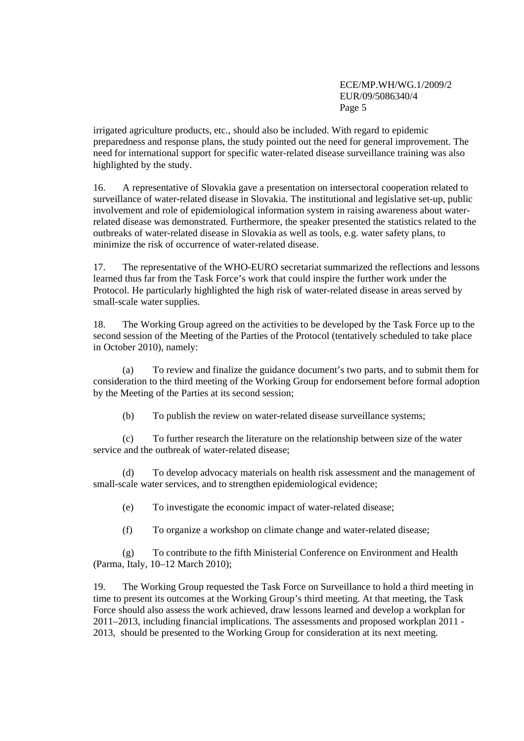irrigated agriculture products, etc., should also be included. With regard to epidemic preparedness and response plans, the study pointed out the need for general improvement. The need for international support for specific water-related disease surveillance training was also highlighted by the study.

16. A representative of Slovakia gave a presentation on intersectoral cooperation related to surveillance of water-related disease in Slovakia. The institutional and legislative set-up, public involvement and role of epidemiological information system in raising awareness about waterrelated disease was demonstrated. Furthermore, the speaker presented the statistics related to the outbreaks of water-related disease in Slovakia as well as tools, e.g. water safety plans, to minimize the risk of occurrence of water-related disease.

17. The representative of the WHO-EURO secretariat summarized the reflections and lessons learned thus far from the Task Force's work that could inspire the further work under the Protocol. He particularly highlighted the high risk of water-related disease in areas served by small-scale water supplies.

18. The Working Group agreed on the activities to be developed by the Task Force up to the second session of the Meeting of the Parties of the Protocol (tentatively scheduled to take place in October 2010), namely:

(a) To review and finalize the guidance document's two parts, and to submit them for consideration to the third meeting of the Working Group for endorsement before formal adoption by the Meeting of the Parties at its second session;

(b) To publish the review on water-related disease surveillance systems;

(c) To further research the literature on the relationship between size of the water service and the outbreak of water-related disease;

(d) To develop advocacy materials on health risk assessment and the management of small-scale water services, and to strengthen epidemiological evidence;

(e) To investigate the economic impact of water-related disease;

(f) To organize a workshop on climate change and water-related disease;

(g) To contribute to the fifth Ministerial Conference on Environment and Health (Parma, Italy, 10–12 March 2010);

19. The Working Group requested the Task Force on Surveillance to hold a third meeting in time to present its outcomes at the Working Group's third meeting. At that meeting, the Task Force should also assess the work achieved, draw lessons learned and develop a workplan for 2011–2013, including financial implications. The assessments and proposed workplan 2011 - 2013, should be presented to the Working Group for consideration at its next meeting.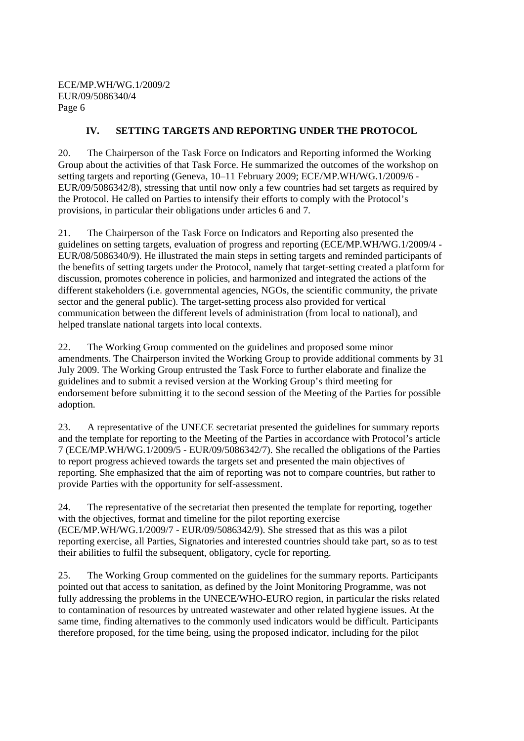# **IV. SETTING TARGETS AND REPORTING UNDER THE PROTOCOL**

20. The Chairperson of the Task Force on Indicators and Reporting informed the Working Group about the activities of that Task Force. He summarized the outcomes of the workshop on setting targets and reporting (Geneva, 10–11 February 2009; ECE/MP.WH/WG.1/2009/6 - EUR/09/5086342/8), stressing that until now only a few countries had set targets as required by the Protocol. He called on Parties to intensify their efforts to comply with the Protocol's provisions, in particular their obligations under articles 6 and 7.

21. The Chairperson of the Task Force on Indicators and Reporting also presented the guidelines on setting targets, evaluation of progress and reporting (ECE/MP.WH/WG.1/2009/4 - EUR/08/5086340/9). He illustrated the main steps in setting targets and reminded participants of the benefits of setting targets under the Protocol, namely that target-setting created a platform for discussion, promotes coherence in policies, and harmonized and integrated the actions of the different stakeholders (i.e. governmental agencies, NGOs, the scientific community, the private sector and the general public). The target-setting process also provided for vertical communication between the different levels of administration (from local to national), and helped translate national targets into local contexts.

22. The Working Group commented on the guidelines and proposed some minor amendments. The Chairperson invited the Working Group to provide additional comments by 31 July 2009. The Working Group entrusted the Task Force to further elaborate and finalize the guidelines and to submit a revised version at the Working Group's third meeting for endorsement before submitting it to the second session of the Meeting of the Parties for possible adoption.

23. A representative of the UNECE secretariat presented the guidelines for summary reports and the template for reporting to the Meeting of the Parties in accordance with Protocol's article 7 (ECE/MP.WH/WG.1/2009/5 - EUR/09/5086342/7). She recalled the obligations of the Parties to report progress achieved towards the targets set and presented the main objectives of reporting. She emphasized that the aim of reporting was not to compare countries, but rather to provide Parties with the opportunity for self-assessment.

24. The representative of the secretariat then presented the template for reporting, together with the objectives, format and timeline for the pilot reporting exercise (ECE/MP.WH/WG.1/2009/7 - EUR/09/5086342/9). She stressed that as this was a pilot reporting exercise, all Parties, Signatories and interested countries should take part, so as to test their abilities to fulfil the subsequent, obligatory, cycle for reporting.

25. The Working Group commented on the guidelines for the summary reports. Participants pointed out that access to sanitation, as defined by the Joint Monitoring Programme, was not fully addressing the problems in the UNECE/WHO-EURO region, in particular the risks related to contamination of resources by untreated wastewater and other related hygiene issues. At the same time, finding alternatives to the commonly used indicators would be difficult. Participants therefore proposed, for the time being, using the proposed indicator, including for the pilot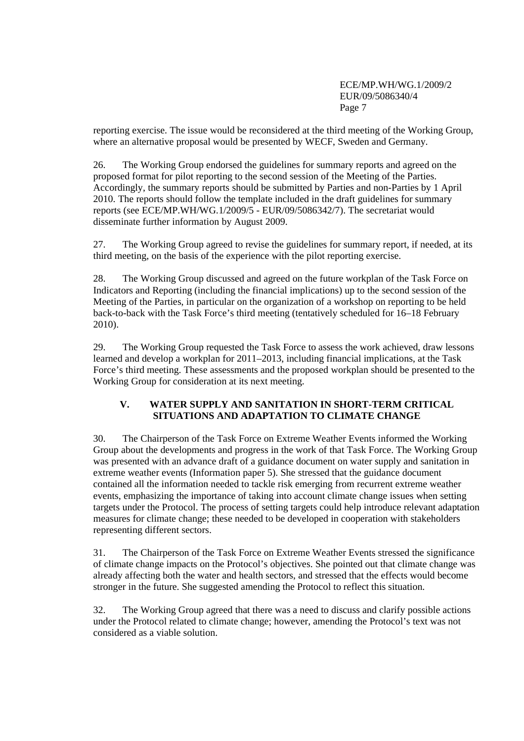reporting exercise. The issue would be reconsidered at the third meeting of the Working Group, where an alternative proposal would be presented by WECF, Sweden and Germany.

26. The Working Group endorsed the guidelines for summary reports and agreed on the proposed format for pilot reporting to the second session of the Meeting of the Parties. Accordingly, the summary reports should be submitted by Parties and non-Parties by 1 April 2010. The reports should follow the template included in the draft guidelines for summary reports (see ECE/MP.WH/WG.1/2009/5 - EUR/09/5086342/7). The secretariat would disseminate further information by August 2009.

27. The Working Group agreed to revise the guidelines for summary report, if needed, at its third meeting, on the basis of the experience with the pilot reporting exercise.

28. The Working Group discussed and agreed on the future workplan of the Task Force on Indicators and Reporting (including the financial implications) up to the second session of the Meeting of the Parties, in particular on the organization of a workshop on reporting to be held back-to-back with the Task Force's third meeting (tentatively scheduled for 16–18 February 2010).

29. The Working Group requested the Task Force to assess the work achieved, draw lessons learned and develop a workplan for 2011–2013, including financial implications, at the Task Force's third meeting. These assessments and the proposed workplan should be presented to the Working Group for consideration at its next meeting.

# **V. WATER SUPPLY AND SANITATION IN SHORT-TERM CRITICAL SITUATIONS AND ADAPTATION TO CLIMATE CHANGE**

30. The Chairperson of the Task Force on Extreme Weather Events informed the Working Group about the developments and progress in the work of that Task Force. The Working Group was presented with an advance draft of a guidance document on water supply and sanitation in extreme weather events (Information paper 5). She stressed that the guidance document contained all the information needed to tackle risk emerging from recurrent extreme weather events, emphasizing the importance of taking into account climate change issues when setting targets under the Protocol. The process of setting targets could help introduce relevant adaptation measures for climate change; these needed to be developed in cooperation with stakeholders representing different sectors.

31. The Chairperson of the Task Force on Extreme Weather Events stressed the significance of climate change impacts on the Protocol's objectives. She pointed out that climate change was already affecting both the water and health sectors, and stressed that the effects would become stronger in the future. She suggested amending the Protocol to reflect this situation.

32. The Working Group agreed that there was a need to discuss and clarify possible actions under the Protocol related to climate change; however, amending the Protocol's text was not considered as a viable solution.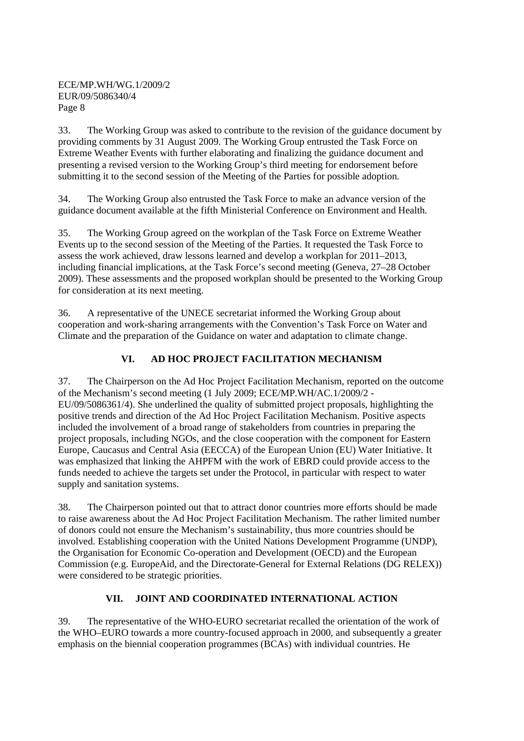33. The Working Group was asked to contribute to the revision of the guidance document by providing comments by 31 August 2009. The Working Group entrusted the Task Force on Extreme Weather Events with further elaborating and finalizing the guidance document and presenting a revised version to the Working Group's third meeting for endorsement before submitting it to the second session of the Meeting of the Parties for possible adoption.

34. The Working Group also entrusted the Task Force to make an advance version of the guidance document available at the fifth Ministerial Conference on Environment and Health.

35. The Working Group agreed on the workplan of the Task Force on Extreme Weather Events up to the second session of the Meeting of the Parties. It requested the Task Force to assess the work achieved, draw lessons learned and develop a workplan for 2011–2013, including financial implications, at the Task Force's second meeting (Geneva, 27–28 October 2009). These assessments and the proposed workplan should be presented to the Working Group for consideration at its next meeting.

36. A representative of the UNECE secretariat informed the Working Group about cooperation and work-sharing arrangements with the Convention's Task Force on Water and Climate and the preparation of the Guidance on water and adaptation to climate change.

# **VI. AD HOC PROJECT FACILITATION MECHANISM**

37. The Chairperson on the Ad Hoc Project Facilitation Mechanism, reported on the outcome of the Mechanism's second meeting (1 July 2009; ECE/MP.WH/AC.1/2009/2 - EU/09/5086361/4). She underlined the quality of submitted project proposals, highlighting the positive trends and direction of the Ad Hoc Project Facilitation Mechanism. Positive aspects included the involvement of a broad range of stakeholders from countries in preparing the project proposals, including NGOs, and the close cooperation with the component for Eastern Europe, Caucasus and Central Asia (EECCA) of the European Union (EU) Water Initiative. It was emphasized that linking the AHPFM with the work of EBRD could provide access to the funds needed to achieve the targets set under the Protocol, in particular with respect to water supply and sanitation systems.

38. The Chairperson pointed out that to attract donor countries more efforts should be made to raise awareness about the Ad Hoc Project Facilitation Mechanism. The rather limited number of donors could not ensure the Mechanism's sustainability, thus more countries should be involved. Establishing cooperation with the United Nations Development Programme (UNDP), the Organisation for Economic Co-operation and Development (OECD) and the European Commission (e.g. EuropeAid, and the Directorate-General for External Relations (DG RELEX)) were considered to be strategic priorities.

# **VII. JOINT AND COORDINATED INTERNATIONAL ACTION**

39. The representative of the WHO-EURO secretariat recalled the orientation of the work of the WHO–EURO towards a more country-focused approach in 2000, and subsequently a greater emphasis on the biennial cooperation programmes (BCAs) with individual countries. He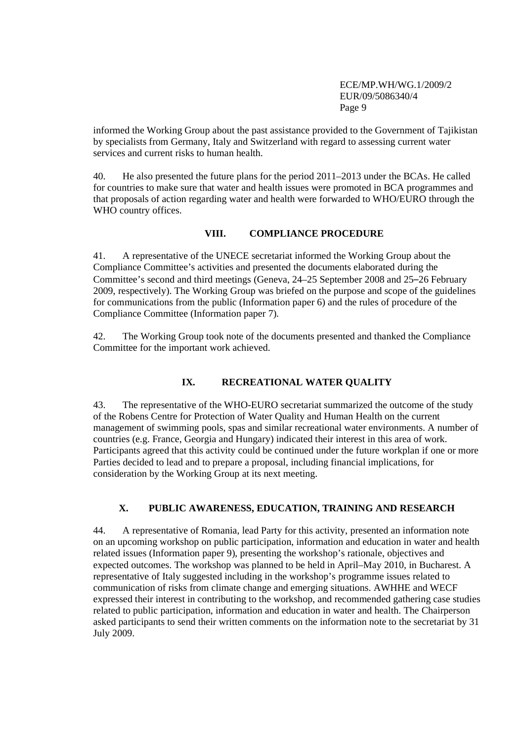informed the Working Group about the past assistance provided to the Government of Tajikistan by specialists from Germany, Italy and Switzerland with regard to assessing current water services and current risks to human health.

40. He also presented the future plans for the period 2011–2013 under the BCAs. He called for countries to make sure that water and health issues were promoted in BCA programmes and that proposals of action regarding water and health were forwarded to WHO/EURO through the WHO country offices.

## **VIII. COMPLIANCE PROCEDURE**

41. A representative of the UNECE secretariat informed the Working Group about the Compliance Committee's activities and presented the documents elaborated during the Committee's second and third meetings (Geneva, 24–25 September 2008 and 25–26 February 2009, respectively). The Working Group was briefed on the purpose and scope of the guidelines for communications from the public (Information paper 6) and the rules of procedure of the Compliance Committee (Information paper 7).

42. The Working Group took note of the documents presented and thanked the Compliance Committee for the important work achieved.

# **IX. RECREATIONAL WATER QUALITY**

43. The representative of the WHO-EURO secretariat summarized the outcome of the study of the Robens Centre for Protection of Water Quality and Human Health on the current management of swimming pools, spas and similar recreational water environments. A number of countries (e.g. France, Georgia and Hungary) indicated their interest in this area of work. Participants agreed that this activity could be continued under the future workplan if one or more Parties decided to lead and to prepare a proposal, including financial implications, for consideration by the Working Group at its next meeting.

# **X. PUBLIC AWARENESS, EDUCATION, TRAINING AND RESEARCH**

44. A representative of Romania, lead Party for this activity, presented an information note on an upcoming workshop on public participation, information and education in water and health related issues (Information paper 9), presenting the workshop's rationale, objectives and expected outcomes. The workshop was planned to be held in April–May 2010, in Bucharest. A representative of Italy suggested including in the workshop's programme issues related to communication of risks from climate change and emerging situations. AWHHE and WECF expressed their interest in contributing to the workshop, and recommended gathering case studies related to public participation, information and education in water and health. The Chairperson asked participants to send their written comments on the information note to the secretariat by 31 July 2009.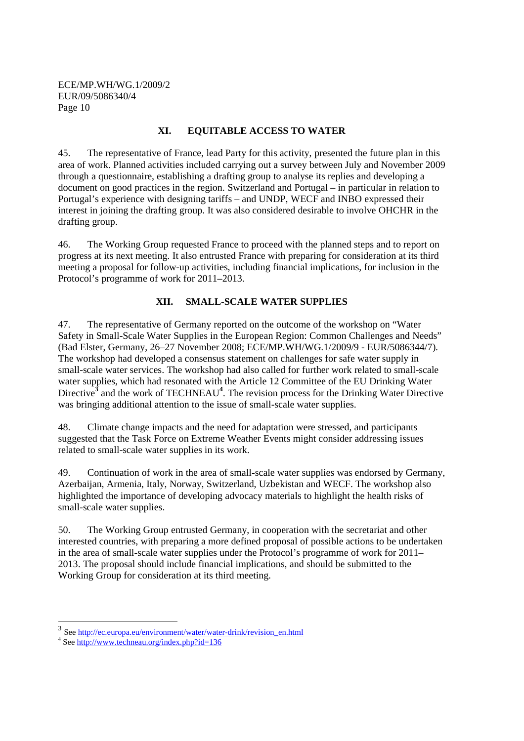## **XI. EQUITABLE ACCESS TO WATER**

45. The representative of France, lead Party for this activity, presented the future plan in this area of work. Planned activities included carrying out a survey between July and November 2009 through a questionnaire, establishing a drafting group to analyse its replies and developing a document on good practices in the region. Switzerland and Portugal – in particular in relation to Portugal's experience with designing tariffs – and UNDP, WECF and INBO expressed their interest in joining the drafting group. It was also considered desirable to involve OHCHR in the drafting group.

46. The Working Group requested France to proceed with the planned steps and to report on progress at its next meeting. It also entrusted France with preparing for consideration at its third meeting a proposal for follow-up activities, including financial implications, for inclusion in the Protocol's programme of work for 2011–2013.

# **XII. SMALL-SCALE WATER SUPPLIES**

47. The representative of Germany reported on the outcome of the workshop on "Water Safety in Small-Scale Water Supplies in the European Region: Common Challenges and Needs" (Bad Elster, Germany, 26–27 November 2008; ECE/MP.WH/WG.1/2009/9 - EUR/5086344/7). The workshop had developed a consensus statement on challenges for safe water supply in small-scale water services. The workshop had also called for further work related to small-scale water supplies, which had resonated with the Article 12 Committee of the EU Drinking Water Directive<sup>3</sup> and the work of TECHNEAU<sup>4</sup>. The revision process for the Drinking Water Directive was bringing additional attention to the issue of small-scale water supplies.

48. Climate change impacts and the need for adaptation were stressed, and participants suggested that the Task Force on Extreme Weather Events might consider addressing issues related to small-scale water supplies in its work.

49. Continuation of work in the area of small-scale water supplies was endorsed by Germany, Azerbaijan, Armenia, Italy, Norway, Switzerland, Uzbekistan and WECF. The workshop also highlighted the importance of developing advocacy materials to highlight the health risks of small-scale water supplies.

50. The Working Group entrusted Germany, in cooperation with the secretariat and other interested countries, with preparing a more defined proposal of possible actions to be undertaken in the area of small-scale water supplies under the Protocol's programme of work for 2011– 2013. The proposal should include financial implications, and should be submitted to the Working Group for consideration at its third meeting.

 $\overline{a}$ 

<sup>&</sup>lt;sup>3</sup> See http://ec.europa.eu/environment/water/water-drink/revision\_en.html

<sup>&</sup>lt;sup>4</sup> See http://www.techneau.org/index.php?id=136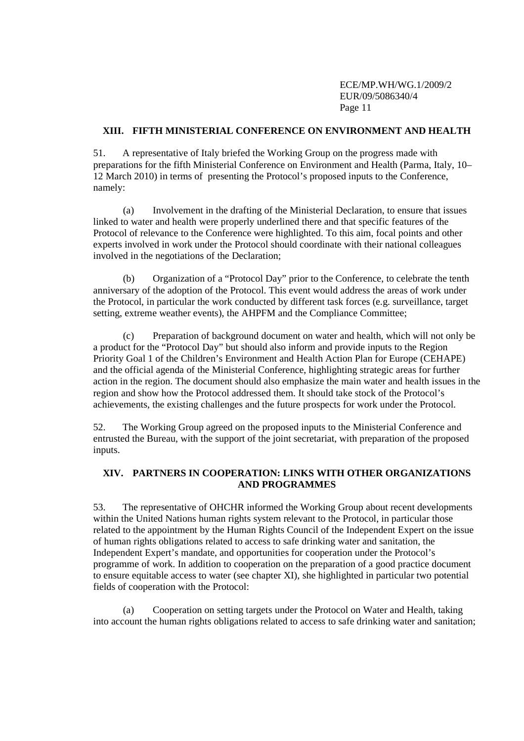#### **XIII. FIFTH MINISTERIAL CONFERENCE ON ENVIRONMENT AND HEALTH**

51. A representative of Italy briefed the Working Group on the progress made with preparations for the fifth Ministerial Conference on Environment and Health (Parma, Italy, 10– 12 March 2010) in terms of presenting the Protocol's proposed inputs to the Conference, namely:

(a) Involvement in the drafting of the Ministerial Declaration, to ensure that issues linked to water and health were properly underlined there and that specific features of the Protocol of relevance to the Conference were highlighted. To this aim, focal points and other experts involved in work under the Protocol should coordinate with their national colleagues involved in the negotiations of the Declaration;

(b) Organization of a "Protocol Day" prior to the Conference, to celebrate the tenth anniversary of the adoption of the Protocol. This event would address the areas of work under the Protocol, in particular the work conducted by different task forces (e.g. surveillance, target setting, extreme weather events), the AHPFM and the Compliance Committee;

(c) Preparation of background document on water and health, which will not only be a product for the "Protocol Day" but should also inform and provide inputs to the Region Priority Goal 1 of the Children's Environment and Health Action Plan for Europe (CEHAPE) and the official agenda of the Ministerial Conference, highlighting strategic areas for further action in the region. The document should also emphasize the main water and health issues in the region and show how the Protocol addressed them. It should take stock of the Protocol's achievements, the existing challenges and the future prospects for work under the Protocol.

52. The Working Group agreed on the proposed inputs to the Ministerial Conference and entrusted the Bureau, with the support of the joint secretariat, with preparation of the proposed inputs.

#### **XIV. PARTNERS IN COOPERATION: LINKS WITH OTHER ORGANIZATIONS AND PROGRAMMES**

53. The representative of OHCHR informed the Working Group about recent developments within the United Nations human rights system relevant to the Protocol, in particular those related to the appointment by the Human Rights Council of the Independent Expert on the issue of human rights obligations related to access to safe drinking water and sanitation, the Independent Expert's mandate, and opportunities for cooperation under the Protocol's programme of work. In addition to cooperation on the preparation of a good practice document to ensure equitable access to water (see chapter XI), she highlighted in particular two potential fields of cooperation with the Protocol:

(a) Cooperation on setting targets under the Protocol on Water and Health, taking into account the human rights obligations related to access to safe drinking water and sanitation;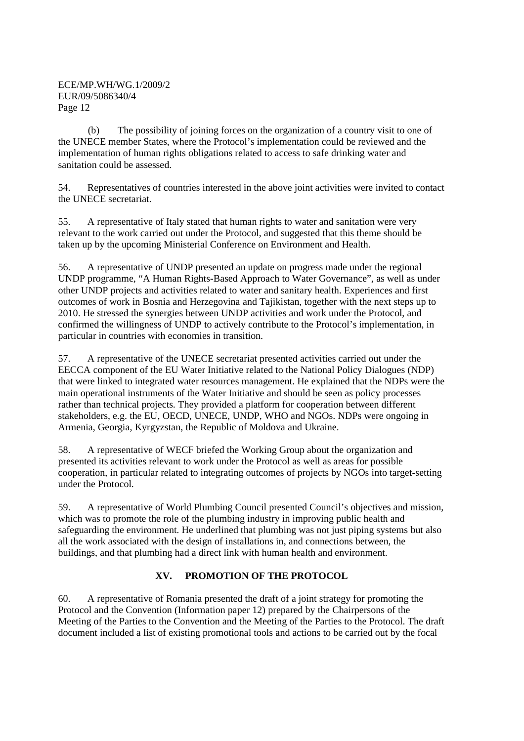(b) The possibility of joining forces on the organization of a country visit to one of the UNECE member States, where the Protocol's implementation could be reviewed and the implementation of human rights obligations related to access to safe drinking water and sanitation could be assessed.

54. Representatives of countries interested in the above joint activities were invited to contact the UNECE secretariat.

55. A representative of Italy stated that human rights to water and sanitation were very relevant to the work carried out under the Protocol, and suggested that this theme should be taken up by the upcoming Ministerial Conference on Environment and Health.

56. A representative of UNDP presented an update on progress made under the regional UNDP programme, "A Human Rights-Based Approach to Water Governance", as well as under other UNDP projects and activities related to water and sanitary health. Experiences and first outcomes of work in Bosnia and Herzegovina and Tajikistan, together with the next steps up to 2010. He stressed the synergies between UNDP activities and work under the Protocol, and confirmed the willingness of UNDP to actively contribute to the Protocol's implementation, in particular in countries with economies in transition.

57. A representative of the UNECE secretariat presented activities carried out under the EECCA component of the EU Water Initiative related to the National Policy Dialogues (NDP) that were linked to integrated water resources management. He explained that the NDPs were the main operational instruments of the Water Initiative and should be seen as policy processes rather than technical projects. They provided a platform for cooperation between different stakeholders, e.g. the EU, OECD, UNECE, UNDP, WHO and NGOs. NDPs were ongoing in Armenia, Georgia, Kyrgyzstan, the Republic of Moldova and Ukraine.

58. A representative of WECF briefed the Working Group about the organization and presented its activities relevant to work under the Protocol as well as areas for possible cooperation, in particular related to integrating outcomes of projects by NGOs into target-setting under the Protocol.

59. A representative of World Plumbing Council presented Council's objectives and mission, which was to promote the role of the plumbing industry in improving public health and safeguarding the environment. He underlined that plumbing was not just piping systems but also all the work associated with the design of installations in, and connections between, the buildings, and that plumbing had a direct link with human health and environment.

# **XV. PROMOTION OF THE PROTOCOL**

60. A representative of Romania presented the draft of a joint strategy for promoting the Protocol and the Convention (Information paper 12) prepared by the Chairpersons of the Meeting of the Parties to the Convention and the Meeting of the Parties to the Protocol. The draft document included a list of existing promotional tools and actions to be carried out by the focal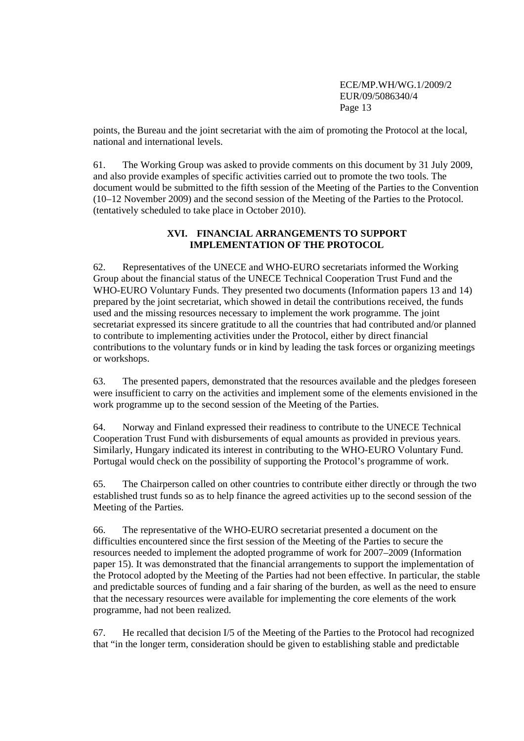points, the Bureau and the joint secretariat with the aim of promoting the Protocol at the local, national and international levels.

61. The Working Group was asked to provide comments on this document by 31 July 2009, and also provide examples of specific activities carried out to promote the two tools. The document would be submitted to the fifth session of the Meeting of the Parties to the Convention (10–12 November 2009) and the second session of the Meeting of the Parties to the Protocol. (tentatively scheduled to take place in October 2010).

# **XVI. FINANCIAL ARRANGEMENTS TO SUPPORT IMPLEMENTATION OF THE PROTOCOL**

62. Representatives of the UNECE and WHO-EURO secretariats informed the Working Group about the financial status of the UNECE Technical Cooperation Trust Fund and the WHO-EURO Voluntary Funds. They presented two documents (Information papers 13 and 14) prepared by the joint secretariat, which showed in detail the contributions received, the funds used and the missing resources necessary to implement the work programme. The joint secretariat expressed its sincere gratitude to all the countries that had contributed and/or planned to contribute to implementing activities under the Protocol, either by direct financial contributions to the voluntary funds or in kind by leading the task forces or organizing meetings or workshops.

63. The presented papers, demonstrated that the resources available and the pledges foreseen were insufficient to carry on the activities and implement some of the elements envisioned in the work programme up to the second session of the Meeting of the Parties.

64. Norway and Finland expressed their readiness to contribute to the UNECE Technical Cooperation Trust Fund with disbursements of equal amounts as provided in previous years. Similarly, Hungary indicated its interest in contributing to the WHO-EURO Voluntary Fund. Portugal would check on the possibility of supporting the Protocol's programme of work.

65. The Chairperson called on other countries to contribute either directly or through the two established trust funds so as to help finance the agreed activities up to the second session of the Meeting of the Parties.

66. The representative of the WHO-EURO secretariat presented a document on the difficulties encountered since the first session of the Meeting of the Parties to secure the resources needed to implement the adopted programme of work for 2007–2009 (Information paper 15). It was demonstrated that the financial arrangements to support the implementation of the Protocol adopted by the Meeting of the Parties had not been effective. In particular, the stable and predictable sources of funding and a fair sharing of the burden, as well as the need to ensure that the necessary resources were available for implementing the core elements of the work programme, had not been realized.

67. He recalled that decision I/5 of the Meeting of the Parties to the Protocol had recognized that "in the longer term, consideration should be given to establishing stable and predictable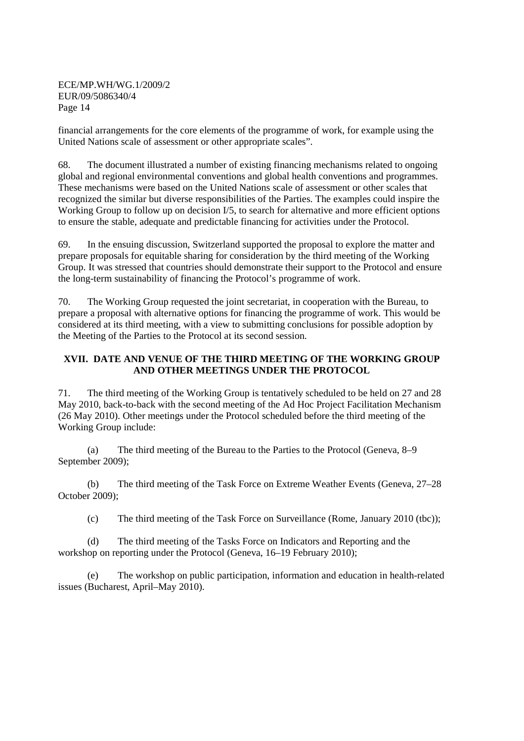financial arrangements for the core elements of the programme of work, for example using the United Nations scale of assessment or other appropriate scales".

68. The document illustrated a number of existing financing mechanisms related to ongoing global and regional environmental conventions and global health conventions and programmes. These mechanisms were based on the United Nations scale of assessment or other scales that recognized the similar but diverse responsibilities of the Parties. The examples could inspire the Working Group to follow up on decision I/5, to search for alternative and more efficient options to ensure the stable, adequate and predictable financing for activities under the Protocol.

69. In the ensuing discussion, Switzerland supported the proposal to explore the matter and prepare proposals for equitable sharing for consideration by the third meeting of the Working Group. It was stressed that countries should demonstrate their support to the Protocol and ensure the long-term sustainability of financing the Protocol's programme of work.

70. The Working Group requested the joint secretariat, in cooperation with the Bureau, to prepare a proposal with alternative options for financing the programme of work. This would be considered at its third meeting, with a view to submitting conclusions for possible adoption by the Meeting of the Parties to the Protocol at its second session.

# **XVII. DATE AND VENUE OF THE THIRD MEETING OF THE WORKING GROUP AND OTHER MEETINGS UNDER THE PROTOCOL**

71. The third meeting of the Working Group is tentatively scheduled to be held on 27 and 28 May 2010, back-to-back with the second meeting of the Ad Hoc Project Facilitation Mechanism (26 May 2010). Other meetings under the Protocol scheduled before the third meeting of the Working Group include:

(a) The third meeting of the Bureau to the Parties to the Protocol (Geneva, 8–9 September 2009);

(b) The third meeting of the Task Force on Extreme Weather Events (Geneva, 27–28 October 2009);

(c) The third meeting of the Task Force on Surveillance (Rome, January 2010 (tbc));

(d) The third meeting of the Tasks Force on Indicators and Reporting and the workshop on reporting under the Protocol (Geneva, 16–19 February 2010);

(e) The workshop on public participation, information and education in health-related issues (Bucharest, April–May 2010).